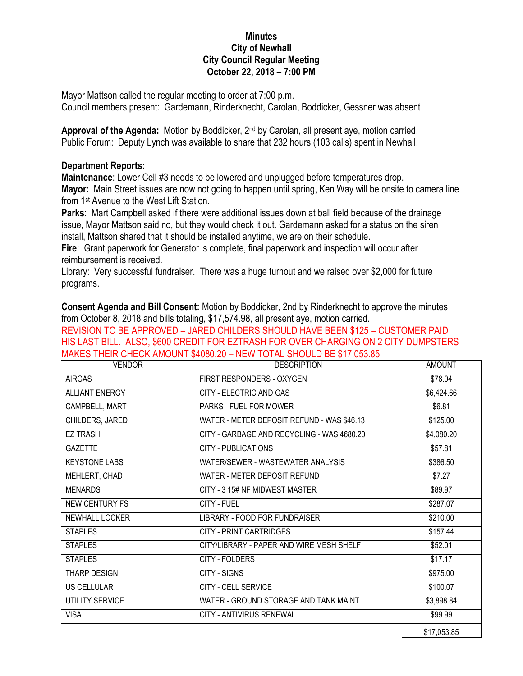## **Minutes City of Newhall City Council Regular Meeting October 22, 2018 – 7:00 PM**

Mayor Mattson called the regular meeting to order at 7:00 p.m. Council members present: Gardemann, Rinderknecht, Carolan, Boddicker, Gessner was absent

Approval of the Agenda: Motion by Boddicker, 2<sup>nd</sup> by Carolan, all present aye, motion carried. Public Forum: Deputy Lynch was available to share that 232 hours (103 calls) spent in Newhall.

## **Department Reports:**

**Maintenance**: Lower Cell #3 needs to be lowered and unplugged before temperatures drop. **Mayor:** Main Street issues are now not going to happen until spring, Ken Way will be onsite to camera line from 1st Avenue to the West Lift Station.

**Parks**: Mart Campbell asked if there were additional issues down at ball field because of the drainage issue, Mayor Mattson said no, but they would check it out. Gardemann asked for a status on the siren install, Mattson shared that it should be installed anytime, we are on their schedule.

**Fire**: Grant paperwork for Generator is complete, final paperwork and inspection will occur after reimbursement is received.

Library: Very successful fundraiser. There was a huge turnout and we raised over \$2,000 for future programs.

**Consent Agenda and Bill Consent:** Motion by Boddicker, 2nd by Rinderknecht to approve the minutes from October 8, 2018 and bills totaling, \$17,574.98, all present aye, motion carried. REVISION TO BE APPROVED – JARED CHILDERS SHOULD HAVE BEEN \$125 – CUSTOMER PAID

HIS LAST BILL. ALSO, \$600 CREDIT FOR EZTRASH FOR OVER CHARGING ON 2 CITY DUMPSTERS MAKES THEIR CHECK AMOUNT \$4080.20 – NEW TOTAL SHOULD BE \$17,053.85

| <b>VENDOR</b>         | <b>DESCRIPTION</b>                         | <b>AMOUNT</b> |
|-----------------------|--------------------------------------------|---------------|
| <b>AIRGAS</b>         | FIRST RESPONDERS - OXYGEN                  | \$78.04       |
| <b>ALLIANT ENERGY</b> | CITY - ELECTRIC AND GAS                    | \$6,424.66    |
| CAMPBELL, MART        | PARKS - FUEL FOR MOWER                     | \$6.81        |
| CHILDERS, JARED       | WATER - METER DEPOSIT REFUND - WAS \$46.13 | \$125.00      |
| <b>EZ TRASH</b>       | CITY - GARBAGE AND RECYCLING - WAS 4680.20 | \$4,080.20    |
| <b>GAZETTE</b>        | <b>CITY - PUBLICATIONS</b>                 | \$57.81       |
| <b>KEYSTONE LABS</b>  | WATER/SEWER - WASTEWATER ANALYSIS          | \$386.50      |
| MEHLERT, CHAD         | WATER - METER DEPOSIT REFUND               | \$7.27        |
| <b>MENARDS</b>        | CITY - 3 15# NF MIDWEST MASTER             | \$89.97       |
| <b>NEW CENTURY FS</b> | CITY - FUEL                                | \$287.07      |
| <b>NEWHALL LOCKER</b> | LIBRARY - FOOD FOR FUNDRAISER              | \$210.00      |
| <b>STAPLES</b>        | <b>CITY - PRINT CARTRIDGES</b>             | \$157.44      |
| <b>STAPLES</b>        | CITY/LIBRARY - PAPER AND WIRE MESH SHELF   | \$52.01       |
| <b>STAPLES</b>        | CITY - FOLDERS                             | \$17.17       |
| THARP DESIGN          | <b>CITY - SIGNS</b>                        | \$975.00      |
| <b>US CELLULAR</b>    | CITY - CELL SERVICE                        | \$100.07      |
| UTILITY SERVICE       | WATER - GROUND STORAGE AND TANK MAINT      | \$3,898.84    |
| <b>VISA</b>           | CITY - ANTIVIRUS RENEWAL                   | \$99.99       |
|                       |                                            | \$17,053.85   |